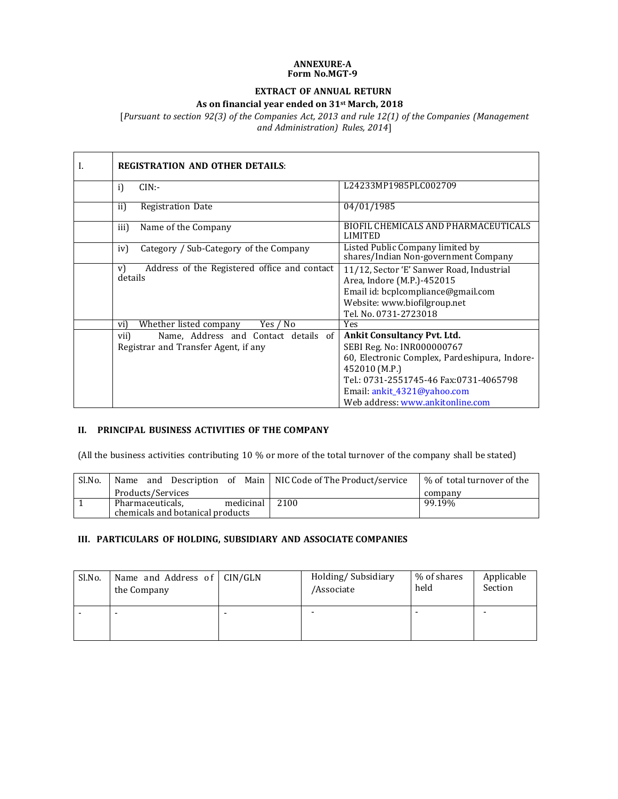#### **ANNEXURE-A Form No.MGT-9**

### **EXTRACT OF ANNUAL RETURN**

#### **As on financial year ended on 31st March, 2018**

[*Pursuant to section 92(3) of the Companies Act, 2013 and rule 12(1) of the Companies (Management and Administration) Rules, 2014*]

| I. | <b>REGISTRATION AND OTHER DETAILS:</b>                        |                                                                                                               |
|----|---------------------------------------------------------------|---------------------------------------------------------------------------------------------------------------|
|    | i<br>CIN:                                                     | L24233MP1985PLC002709                                                                                         |
|    | ii)<br>Registration Date                                      | 04/01/1985                                                                                                    |
|    | Name of the Company<br>iii)                                   | BIOFIL CHEMICALS AND PHARMACEUTICALS<br>LIMITED                                                               |
|    | iv)<br>Category / Sub-Category of the Company                 | Listed Public Company limited by<br>shares/Indian Non-government Company                                      |
|    | Address of the Registered office and contact<br>V)<br>details | 11/12, Sector 'E' Sanwer Road, Industrial<br>Area, Indore (M.P.)-452015<br>Email id: bcplcompliance@gmail.com |
|    |                                                               | Website: www.biofilgroup.net<br>Tel. No. 0731-2723018                                                         |
|    | Yes / No<br>Whether listed company<br>vi)                     | Yes                                                                                                           |
|    | Name, Address and Contact details of<br>vii)                  | <b>Ankit Consultancy Pvt. Ltd.</b>                                                                            |
|    | Registrar and Transfer Agent, if any                          | SEBI Reg. No: INR000000767                                                                                    |
|    |                                                               | 60, Electronic Complex, Pardeshipura, Indore-                                                                 |
|    |                                                               | 452010 (M.P.)                                                                                                 |
|    |                                                               | Tel.: 0731-2551745-46 Fax:0731-4065798                                                                        |
|    |                                                               | Email: ankit_4321@yahoo.com                                                                                   |
|    |                                                               | Web address: www.ankitonline.com                                                                              |

# **II. PRINCIPAL BUSINESS ACTIVITIES OF THE COMPANY**

(All the business activities contributing 10 % or more of the total turnover of the company shall be stated)

| Sl.No. | Name                             | and Description of Main   NIC Code of The Product/service | % of total turnover of the |
|--------|----------------------------------|-----------------------------------------------------------|----------------------------|
|        | Products/Services                |                                                           | company                    |
|        | medicinal<br>Pharmaceuticals,    | 2100                                                      | 99.19%                     |
|        | chemicals and botanical products |                                                           |                            |

## **III. PARTICULARS OF HOLDING, SUBSIDIARY AND ASSOCIATE COMPANIES**

| Sl.No. | Name and Address of $  CIN/GLN$<br>the Company | Holding/Subsidiary<br>/Associate | % of shares<br>held | Applicable<br>Section |
|--------|------------------------------------------------|----------------------------------|---------------------|-----------------------|
|        | -                                              |                                  |                     | -                     |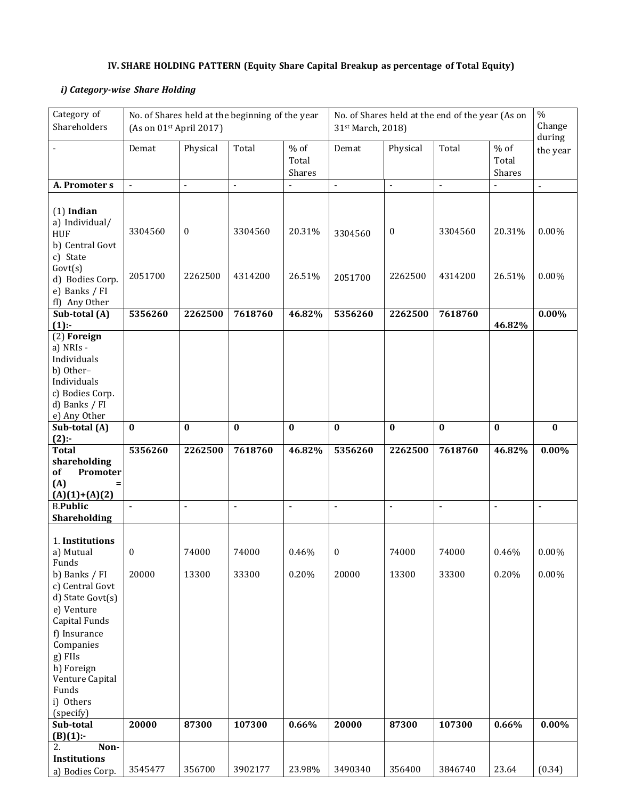# **IV. SHARE HOLDING PATTERN (Equity Share Capital Breakup as percentage of Total Equity)**

# *i) Category-wise Share Holding*

| Category of<br>Shareholders                                                                                                                                 | (As on 01 <sup>st</sup> April 2017) |                          | No. of Shares held at the beginning of the year |                           | No. of Shares held at the end of the year (As on<br>31st March, 2018) |                          |                          |                           | $\%$<br>Change           |
|-------------------------------------------------------------------------------------------------------------------------------------------------------------|-------------------------------------|--------------------------|-------------------------------------------------|---------------------------|-----------------------------------------------------------------------|--------------------------|--------------------------|---------------------------|--------------------------|
|                                                                                                                                                             | Demat                               | Physical                 | Total                                           | $%$ of<br>Total<br>Shares | Demat                                                                 | Physical                 | Total                    | $%$ of<br>Total<br>Shares | during<br>the year       |
| A. Promoter s                                                                                                                                               | $\overline{\phantom{a}}$            | $\overline{\phantom{a}}$ | $\overline{\phantom{a}}$                        |                           | Ĭ.                                                                    | $\overline{\phantom{a}}$ | $\overline{\phantom{a}}$ |                           | $\overline{\phantom{a}}$ |
| $(1)$ Indian<br>a) Individual/<br><b>HUF</b><br>b) Central Govt<br>c) State                                                                                 | 3304560                             | $\boldsymbol{0}$         | 3304560                                         | 20.31%                    | 3304560                                                               | $\boldsymbol{0}$         | 3304560                  | 20.31%                    | $0.00\%$                 |
| Govt(s)<br>d) Bodies Corp.<br>e) Banks / FI<br>fl) Any Other                                                                                                | 2051700                             | 2262500                  | 4314200                                         | 26.51%                    | 2051700                                                               | 2262500                  | 4314200                  | 26.51%                    | $0.00\%$                 |
| Sub-total (A)<br>$(1)$ :                                                                                                                                    | 5356260                             | 2262500                  | 7618760                                         | 46.82%                    | 5356260                                                               | 2262500                  | 7618760                  | 46.82%                    | $0.00\%$                 |
| (2) Foreign<br>a) NRIs -<br>Individuals<br>b) Other-<br>Individuals<br>c) Bodies Corp.<br>d) Banks / FI<br>e) Any Other                                     |                                     |                          |                                                 |                           |                                                                       |                          |                          |                           |                          |
| Sub-total (A)                                                                                                                                               | $\bf{0}$                            | $\bf{0}$                 | $\bf{0}$                                        | $\bf{0}$                  | $\bf{0}$                                                              | $\bf{0}$                 | $\bf{0}$                 | $\bf{0}$                  | $\bf{0}$                 |
| $(2)$ :-<br><b>Total</b><br>shareholding<br>of<br>Promoter<br>(A)<br>$(A)(1)+(A)(2)$                                                                        | 5356260                             | 2262500                  | 7618760                                         | 46.82%                    | 5356260                                                               | 2262500                  | 7618760                  | 46.82%                    | $0.00\%$                 |
| <b>B.Public</b><br>Shareholding                                                                                                                             |                                     | $\blacksquare$           | $\blacksquare$                                  | $\blacksquare$            | ÷                                                                     | $\blacksquare$           | ÷                        | $\blacksquare$            | ÷                        |
| 1. Institutions<br>a) Mutual<br>Funds<br>b) Banks / FI<br>c) Central Govt                                                                                   | $\bf{0}$<br>20000                   | 74000<br>13300           | 74000<br>33300                                  | 0.46%<br>0.20%            | $\boldsymbol{0}$<br>20000                                             | 74000<br>13300           | 74000<br>33300           | 0.46%<br>0.20%            | $0.00\%$<br>$0.00\%$     |
| d) State Govt(s)<br>e) Venture<br>Capital Funds<br>f) Insurance<br>Companies<br>g) FIIs<br>h) Foreign<br>Venture Capital<br>Funds<br>i) Others<br>(specify) |                                     |                          |                                                 |                           |                                                                       |                          |                          |                           |                          |
| Sub-total<br>$(B)(1)$ :-                                                                                                                                    | 20000                               | 87300                    | 107300                                          | 0.66%                     | 20000                                                                 | 87300                    | 107300                   | 0.66%                     | $0.00\%$                 |
| 2.<br>Non-<br>Institutions<br>a) Bodies Corp.                                                                                                               | 3545477                             | 356700                   | 3902177                                         | 23.98%                    | 3490340                                                               | 356400                   | 3846740                  | 23.64                     | (0.34)                   |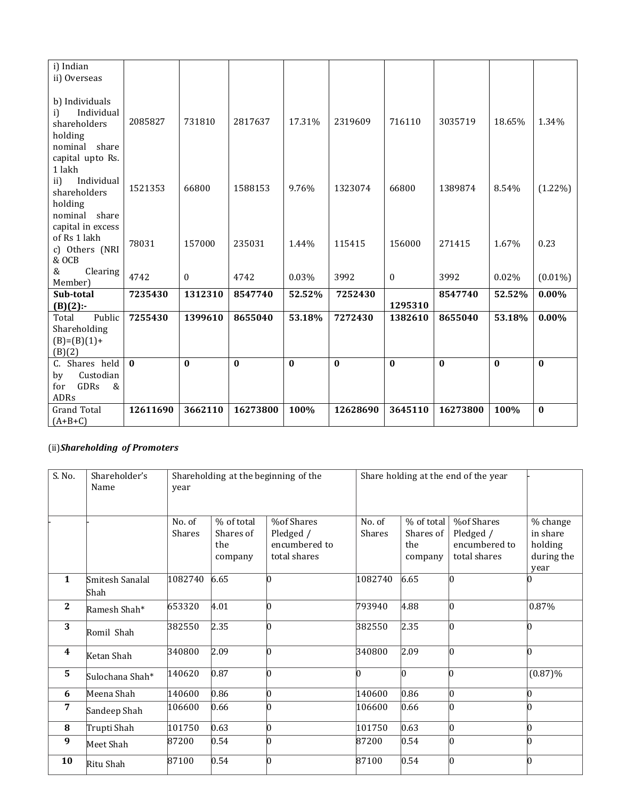| i) Indian<br>ii) Overseas                     |              |              |              |          |              |              |              |              |            |
|-----------------------------------------------|--------------|--------------|--------------|----------|--------------|--------------|--------------|--------------|------------|
| b) Individuals                                |              |              |              |          |              |              |              |              |            |
| Individual<br>i)<br>shareholders              | 2085827      | 731810       | 2817637      | 17.31%   | 2319609      | 716110       | 3035719      | 18.65%       | 1.34%      |
| holding<br>nominal share                      |              |              |              |          |              |              |              |              |            |
| capital upto Rs.<br>1 lakh                    |              |              |              |          |              |              |              |              |            |
| Individual<br>ii)<br>shareholders             | 1521353      | 66800        | 1588153      | 9.76%    | 1323074      | 66800        | 1389874      | 8.54%        | $(1.22\%)$ |
| holding<br>nominal share<br>capital in excess |              |              |              |          |              |              |              |              |            |
| of Rs 1 lakh<br>c) Others (NRI                | 78031        | 157000       | 235031       | 1.44%    | 115415       | 156000       | 271415       | 1.67%        | 0.23       |
| & OCB<br>Clearing<br>&                        | 4742         | $\theta$     | 4742         | 0.03%    | 3992         | $\theta$     | 3992         | 0.02%        | $(0.01\%)$ |
| Member)                                       |              |              |              |          |              |              |              |              |            |
| Sub-total<br>$(B)(2)$ :-                      | 7235430      | 1312310      | 8547740      | 52.52%   | 7252430      | 1295310      | 8547740      | 52.52%       | $0.00\%$   |
| Public<br>Total                               | 7255430      | 1399610      | 8655040      | 53.18%   | 7272430      | 1382610      | 8655040      | 53.18%       | $0.00\%$   |
| Shareholding                                  |              |              |              |          |              |              |              |              |            |
| $(B)=(B)(1)+$<br>(B)(2)                       |              |              |              |          |              |              |              |              |            |
| C. Shares held                                | $\mathbf{0}$ | $\mathbf{0}$ | $\mathbf{0}$ | $\bf{0}$ | $\mathbf{0}$ | $\mathbf{0}$ | $\mathbf{0}$ | $\mathbf{0}$ | $\bf{0}$   |
| Custodian<br>by                               |              |              |              |          |              |              |              |              |            |
| GDRs<br>&<br>for<br>ADRs                      |              |              |              |          |              |              |              |              |            |
| <b>Grand Total</b><br>$(A+B+C)$               | 12611690     | 3662110      | 16273800     | 100%     | 12628690     | 3645110      | 16273800     | 100%         | $\bf{0}$   |

# (ii)*Shareholding of Promoters*

| S. No.           | Shareholder's<br>Name   | Shareholding at the beginning of the<br>Share holding at the end of the year<br>year |                                           |                                                          |                  |                                           |                                                          |                                                       |
|------------------|-------------------------|--------------------------------------------------------------------------------------|-------------------------------------------|----------------------------------------------------------|------------------|-------------------------------------------|----------------------------------------------------------|-------------------------------------------------------|
|                  |                         | No. of<br><b>Shares</b>                                                              | % of total<br>Shares of<br>the<br>company | %of Shares<br>Pledged /<br>encumbered to<br>total shares | No. of<br>Shares | % of total<br>Shares of<br>the<br>company | %of Shares<br>Pledged /<br>encumbered to<br>total shares | % change<br>in share<br>holding<br>during the<br>year |
| $\mathbf{1}$     | Smitesh Sanalal<br>Shah | 1082740                                                                              | 6.65                                      |                                                          | 1082740          | 6.65                                      | h                                                        |                                                       |
| $\mathbf{2}$     | Ramesh Shah*            | 653320                                                                               | 4.01                                      | 0                                                        | 793940           | 4.88                                      | Ю                                                        | 0.87%                                                 |
| 3                | Romil Shah              | 382550                                                                               | 2.35                                      |                                                          | 382550           | 2.35                                      | h                                                        | n                                                     |
| $\boldsymbol{4}$ | Ketan Shah              | 340800                                                                               | 2.09                                      | l0                                                       | 340800           | 2.09                                      | h                                                        | h                                                     |
| 5                | Sulochana Shah*         | 140620                                                                               | 0.87                                      |                                                          | l0               | IO                                        |                                                          | $(0.87)\%$                                            |
| 6                | Meena Shah              | 140600                                                                               | 0.86                                      |                                                          | 140600           | 0.86                                      | 10                                                       |                                                       |
| 7                | Sandeep Shah            | 106600                                                                               | 0.66                                      |                                                          | 106600           | 0.66                                      | n                                                        |                                                       |
| 8                | Trupti Shah             | 101750                                                                               | 0.63                                      |                                                          | 101750           | 0.63                                      | b                                                        |                                                       |
| 9                | Meet Shah               | 87200                                                                                | 0.54                                      |                                                          | 87200            | 0.54                                      |                                                          |                                                       |
| 10               | Ritu Shah               | 87100                                                                                | 0.54                                      |                                                          | 87100            | 0.54                                      | Ю                                                        |                                                       |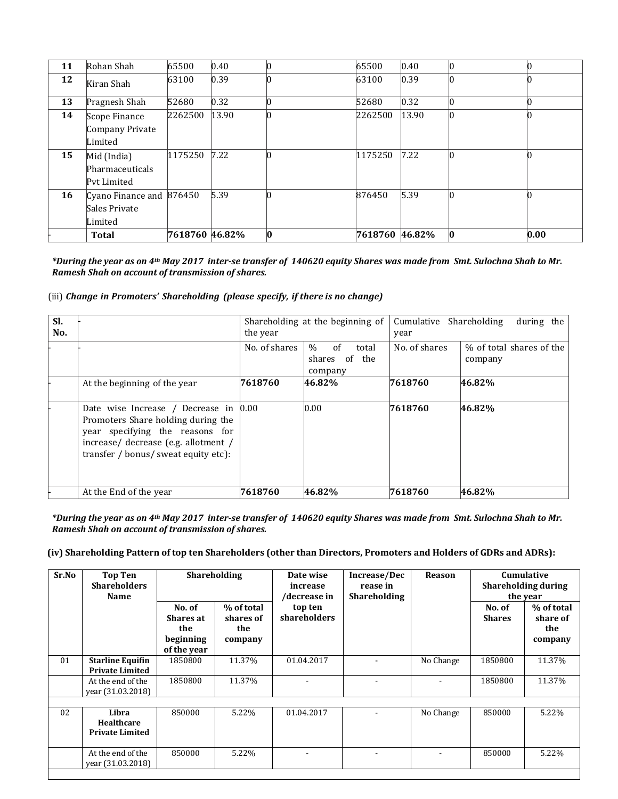| 11 | Rohan Shah                                           | 65500          | 0.40  |             | 65500          | 0.40  |    |      |
|----|------------------------------------------------------|----------------|-------|-------------|----------------|-------|----|------|
| 12 | Kiran Shah                                           | 63100          | 0.39  |             | 63100          | 0.39  |    |      |
| 13 | Pragnesh Shah                                        | 52680          | 0.32  |             | 52680          | 0.32  | 10 |      |
| 14 | Scope Finance<br>Company Private<br>Limited          | 2262500        | 13.90 |             | 2262500        | 13.90 | 10 |      |
| 15 | Mid (India)<br>Pharmaceuticals<br>Pyt Limited        | 1175250        | 7.22  |             | 1175250        | 7.22  |    |      |
| 16 | Cyano Finance and 876450<br>Sales Private<br>Limited |                | 5.39  |             | 876450         | 5.39  |    |      |
|    | <b>Total</b>                                         | 7618760 46.82% |       | $ 0\rangle$ | 7618760 46.82% |       | Ю  | 0.00 |

*\*During the year as on 4th May 2017 inter-se transfer of 140620 equity Shares was made from Smt. Sulochna Shah to Mr. Ramesh Shah on account of transmission of shares.* 

### (iii) *Change in Promoters' Shareholding (please specify, if there is no change)*

| SI.<br>No. |                                                                                                                                                                                                          | the year      | Shareholding at the beginning of                         | Cumulative Shareholding<br>during the<br>year |                                     |  |
|------------|----------------------------------------------------------------------------------------------------------------------------------------------------------------------------------------------------------|---------------|----------------------------------------------------------|-----------------------------------------------|-------------------------------------|--|
|            |                                                                                                                                                                                                          | No. of shares | of<br>$\frac{0}{0}$<br>total<br>shares of the<br>company | No. of shares                                 | % of total shares of the<br>company |  |
|            | At the beginning of the year                                                                                                                                                                             | 7618760       | 46.82%                                                   | 7618760                                       | 46.82%                              |  |
|            | Date wise Increase / Decrease in $ 0.00\rangle$<br>Promoters Share holding during the<br>year specifying the reasons for<br>increase/ decrease (e.g. allotment /<br>transfer / bonus/ sweat equity etc): |               | 0.00                                                     | 7618760                                       | 46.82%                              |  |
|            | At the End of the year                                                                                                                                                                                   | 7618760       | 46.82%                                                   | 7618760                                       | 46.82%                              |  |

*\*During the year as on 4th May 2017 inter-se transfer of 140620 equity Shares was made from Smt. Sulochna Shah to Mr. Ramesh Shah on account of transmission of shares.* 

#### **(iv) Shareholding Pattern of top ten Shareholders (other than Directors, Promoters and Holders of GDRs and ADRs):**

| Sr.No | <b>Top Ten</b><br><b>Shareholders</b><br><b>Name</b> |                                                               | <b>Shareholding</b>                       | Date wise<br>increase<br>/decrease in | Increase/Dec<br>rease in<br><b>Shareholding</b> | <b>Reason</b> | Cumulative<br><b>Shareholding during</b><br>the year |                                          |
|-------|------------------------------------------------------|---------------------------------------------------------------|-------------------------------------------|---------------------------------------|-------------------------------------------------|---------------|------------------------------------------------------|------------------------------------------|
|       |                                                      | No. of<br><b>Shares at</b><br>the<br>beginning<br>of the year | % of total<br>shares of<br>the<br>company | top ten<br>shareholders               |                                                 |               | No. of<br><b>Shares</b>                              | % of total<br>share of<br>the<br>company |
| 01    | <b>Starline Equifin</b><br><b>Private Limited</b>    | 1850800                                                       | 11.37%                                    | 01.04.2017                            |                                                 | No Change     | 1850800                                              | 11.37%                                   |
|       | At the end of the<br>vear (31.03.2018)               | 1850800                                                       | 11.37%                                    | $\overline{\phantom{a}}$              | $\overline{\phantom{a}}$                        |               | 1850800                                              | 11.37%                                   |
|       |                                                      |                                                               |                                           |                                       |                                                 |               |                                                      |                                          |
| 02    | Libra<br>Healthcare<br><b>Private Limited</b>        | 850000                                                        | 5.22%                                     | 01.04.2017                            |                                                 | No Change     | 850000                                               | 5.22%                                    |
|       | At the end of the<br>vear (31.03.2018)               | 850000                                                        | 5.22%                                     | $\blacksquare$                        | ۰                                               |               | 850000                                               | 5.22%                                    |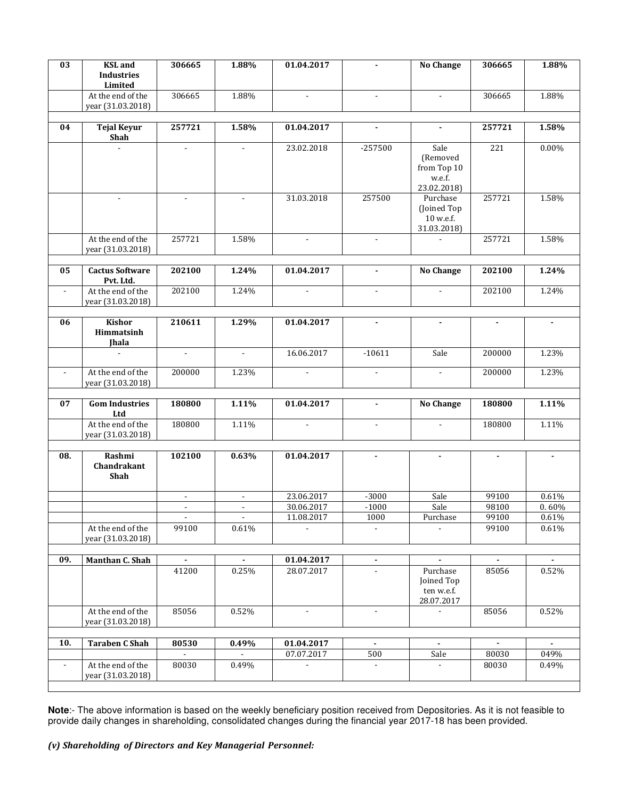| 03             | <b>KSL</b> and<br><b>Industries</b><br>Limited | 306665         | 1.88%                             | 01.04.2017               | $\blacksquare$           | <b>No Change</b>                                         | 306665         | 1.88%          |
|----------------|------------------------------------------------|----------------|-----------------------------------|--------------------------|--------------------------|----------------------------------------------------------|----------------|----------------|
|                | At the end of the<br>year (31.03.2018)         | 306665         | 1.88%                             | $\sim$                   | $\blacksquare$           | $\blacksquare$                                           | 306665         | 1.88%          |
| 04             | <b>Tejal Keyur</b><br>Shah                     | 257721         | 1.58%                             | 01.04.2017               | $\overline{\phantom{a}}$ | $\blacksquare$                                           | 257721         | 1.58%          |
|                |                                                |                |                                   | 23.02.2018               | $-257500$                | Sale<br>(Removed<br>from Top 10<br>w.e.f.<br>23.02.2018) | 221            | $0.00\%$       |
|                | $\sim$                                         | $\blacksquare$ | $\blacksquare$                    | 31.03.2018               | 257500                   | Purchase<br>(Joined Top)<br>10 w.e.f.<br>31.03.2018)     | 257721         | 1.58%          |
|                | At the end of the<br>year (31.03.2018)         | 257721         | 1.58%                             |                          | $\sim$                   |                                                          | 257721         | 1.58%          |
| 05             | <b>Cactus Software</b><br>Pvt. Ltd.            | 202100         | 1.24%                             | 01.04.2017               | $\blacksquare$           | <b>No Change</b>                                         | 202100         | 1.24%          |
| $\blacksquare$ | At the end of the<br>year (31.03.2018)         | 202100         | 1.24%                             | $\blacksquare$           | $\blacksquare$           | $\blacksquare$                                           | 202100         | 1.24%          |
|                | <b>Kishor</b>                                  |                |                                   |                          |                          |                                                          |                |                |
| 06             | Himmatsinh<br><b>Jhala</b>                     | 210611         | 1.29%                             | 01.04.2017               | $\blacksquare$           | $\blacksquare$                                           | $\blacksquare$ | $\blacksquare$ |
|                | ä,                                             | $\blacksquare$ | $\sim$                            | 16.06.2017               | $-10611$                 | Sale                                                     | 200000         | 1.23%          |
|                | At the end of the<br>year (31.03.2018)         | 200000         | 1.23%                             |                          | $\overline{\phantom{a}}$ | $\blacksquare$                                           | 200000         | 1.23%          |
| 07             | <b>Gom Industries</b><br>Ltd                   | 180800         | 1.11%                             | 01.04.2017               | $\blacksquare$           | <b>No Change</b>                                         | 180800         | 1.11%          |
|                | At the end of the<br>year (31.03.2018)         | 180800         | 1.11%                             | $\blacksquare$           | $\blacksquare$           | $\blacksquare$                                           | 180800         | 1.11%          |
| 08.            | Rashmi<br>Chandrakant<br>Shah                  | 102100         | 0.63%                             | 01.04.2017               | $\blacksquare$           |                                                          | $\overline{a}$ |                |
|                |                                                | $\blacksquare$ | $\overline{\phantom{a}}$          | 23.06.2017               | $-3000$                  | Sale                                                     | 99100          | 0.61%          |
|                |                                                |                | $\overline{\phantom{a}}$          | 30.06.2017<br>11.08.2017 | $-1000$<br>1000          | Sale                                                     | 98100<br>99100 | 0.60%<br>0.61% |
|                | At the end of the<br>year (31.03.2018)         | 99100          | $\overline{\phantom{a}}$<br>0.61% |                          |                          | Purchase                                                 | 99100          | 0.61%          |
| 09.            | Manthan C. Shah                                |                |                                   | 01.04.2017               |                          |                                                          |                |                |
|                |                                                | 41200          | 0.25%                             | 28.07.2017               | $\mathbf{r}$             | Purchase<br>Joined Top<br>ten w.e.f.<br>28.07.2017       | 85056          | 0.52%          |
|                | At the end of the<br>year (31.03.2018)         | 85056          | 0.52%                             | $\blacksquare$           | $\overline{\phantom{a}}$ |                                                          | 85056          | 0.52%          |
| 10.            | <b>Taraben C Shah</b>                          | 80530          | 0.49%                             | 01.04.2017               | $\blacksquare$           | $\blacksquare$                                           | $\blacksquare$ | $\blacksquare$ |
|                |                                                |                |                                   | 07.07.2017               | 500                      | Sale                                                     | 80030          | 049%           |
|                | At the end of the<br>year (31.03.2018)         | 80030          | 0.49%                             |                          |                          |                                                          | 80030          | 0.49%          |
|                |                                                |                |                                   |                          |                          |                                                          |                |                |

**Note**:- The above information is based on the weekly beneficiary position received from Depositories. As it is not feasible to provide daily changes in shareholding, consolidated changes during the financial year 2017-18 has been provided.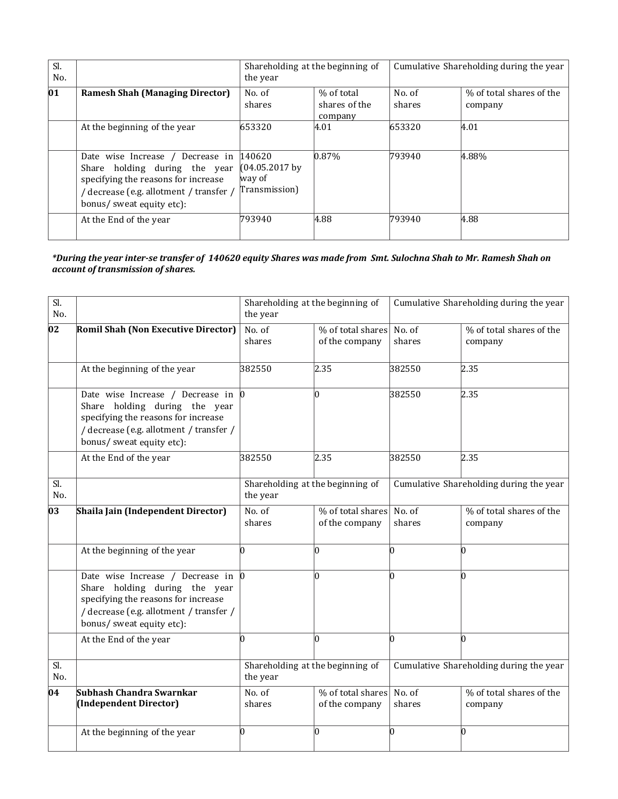| Sl.<br>No.   |                                                                                                                                                                                     | Shareholding at the beginning of<br>the year      |                                        | Cumulative Shareholding during the year |                                     |  |
|--------------|-------------------------------------------------------------------------------------------------------------------------------------------------------------------------------------|---------------------------------------------------|----------------------------------------|-----------------------------------------|-------------------------------------|--|
| $ 01\rangle$ | <b>Ramesh Shah (Managing Director)</b>                                                                                                                                              | No. of<br>shares                                  | % of total<br>shares of the<br>company | No. of<br>shares                        | % of total shares of the<br>company |  |
|              | At the beginning of the year                                                                                                                                                        | 653320                                            | 4.01                                   | 653320                                  | 4.01                                |  |
|              | Date wise Increase / Decrease in<br>holding during the year<br>Share<br>specifying the reasons for increase<br>/ decrease (e.g. allotment / transfer /<br>bonus/ sweat equity etc): | 140620<br>(04.05.2017)<br>way of<br>Transmission) | $0.87\%$                               | 793940                                  | 4.88%                               |  |
|              | At the End of the year                                                                                                                                                              | 793940                                            | 4.88                                   | 793940                                  | 4.88                                |  |

*\*During the year inter-se transfer of 140620 equity Shares was made from Smt. Sulochna Shah to Mr. Ramesh Shah on account of transmission of shares.* 

| Sl.<br>No. |                                                                                                                                                                                  | Shareholding at the beginning of<br>the year |                                     |                  | Cumulative Shareholding during the year |
|------------|----------------------------------------------------------------------------------------------------------------------------------------------------------------------------------|----------------------------------------------|-------------------------------------|------------------|-----------------------------------------|
| 02         | <b>Romil Shah (Non Executive Director)</b>                                                                                                                                       | No. of<br>shares                             | % of total shares<br>of the company | No. of<br>shares | % of total shares of the<br>company     |
|            | At the beginning of the year                                                                                                                                                     | 382550                                       | 2.35                                | 382550           | 2.35                                    |
|            | Date wise Increase / Decrease in<br>Share holding during the year<br>specifying the reasons for increase<br>/ decrease (e.g. allotment / transfer /<br>bonus/ sweat equity etc): | $\bm{0}$                                     | O                                   | 382550           | 2.35                                    |
|            | At the End of the year                                                                                                                                                           | 382550                                       | 2.35                                | 382550           | 2.35                                    |
| Sl.<br>No. |                                                                                                                                                                                  | Shareholding at the beginning of<br>the year |                                     |                  | Cumulative Shareholding during the year |
| 03         | Shaila Jain (Independent Director)                                                                                                                                               | No. of<br>shares                             | % of total shares<br>of the company | No. of<br>shares | % of total shares of the<br>company     |
|            | At the beginning of the year                                                                                                                                                     | 0                                            | 0                                   | n                | 0                                       |
|            | Date wise Increase / Decrease in<br>Share holding during the year<br>specifying the reasons for increase<br>/ decrease (e.g. allotment / transfer /<br>bonus/ sweat equity etc): | $\vert 0 \vert$                              | IO                                  | n                | n                                       |
|            | At the End of the year                                                                                                                                                           | 0                                            | 10                                  | <sup>0</sup>     | l0                                      |
| Sl.<br>No. |                                                                                                                                                                                  | Shareholding at the beginning of<br>the year |                                     |                  | Cumulative Shareholding during the year |
| 04         | Subhash Chandra Swarnkar<br>(Independent Director)                                                                                                                               | No. of<br>shares                             | % of total shares<br>of the company | No. of<br>shares | % of total shares of the<br>company     |
|            | At the beginning of the year                                                                                                                                                     | 0                                            | 10                                  | $\overline{0}$   | 10                                      |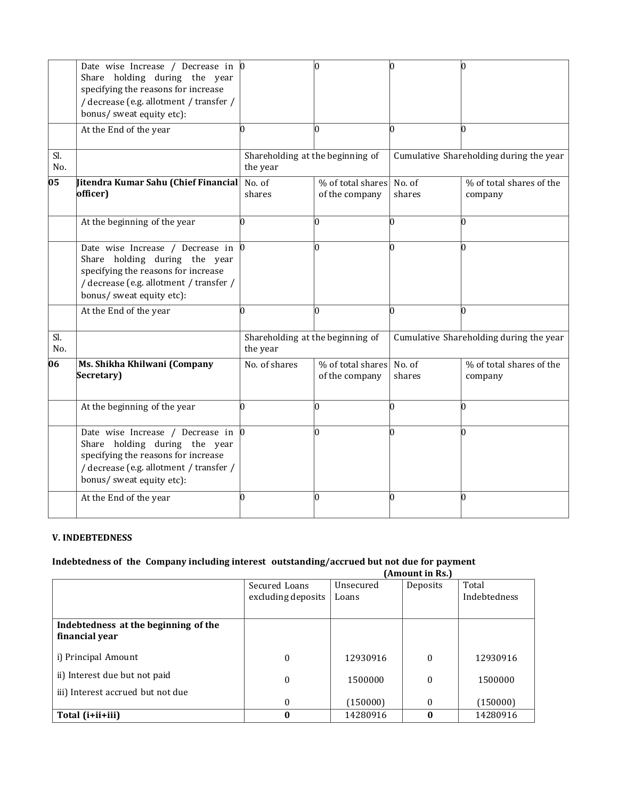|            | Date wise Increase / Decrease in $\vert 0 \rangle$<br>Share holding during the year<br>specifying the reasons for increase<br>/ decrease (e.g. allotment / transfer /<br>bonus/ sweat equity etc): |                                              | IN                                  | n                                       | 10                                      |
|------------|----------------------------------------------------------------------------------------------------------------------------------------------------------------------------------------------------|----------------------------------------------|-------------------------------------|-----------------------------------------|-----------------------------------------|
|            | At the End of the year                                                                                                                                                                             |                                              | n                                   | n                                       | M                                       |
| Sl.<br>No. |                                                                                                                                                                                                    | Shareholding at the beginning of<br>the year |                                     |                                         | Cumulative Shareholding during the year |
| 05         | Jitendra Kumar Sahu (Chief Financial<br>officer)                                                                                                                                                   | No. of<br>shares                             | % of total shares<br>of the company | No. of<br>shares                        | % of total shares of the<br>company     |
|            | At the beginning of the year                                                                                                                                                                       | n                                            |                                     | n                                       | n                                       |
|            | Date wise Increase / Decrease in<br>Share holding during the year<br>specifying the reasons for increase<br>/ decrease (e.g. allotment / transfer /<br>bonus/ sweat equity etc):                   |                                              |                                     | n                                       | n                                       |
|            | At the End of the year                                                                                                                                                                             |                                              |                                     | O.                                      | IN                                      |
| Sl.<br>No. |                                                                                                                                                                                                    | Shareholding at the beginning of<br>the year |                                     | Cumulative Shareholding during the year |                                         |
| 06         | Ms. Shikha Khilwani (Company<br>Secretary)                                                                                                                                                         | No. of shares                                | % of total shares<br>of the company | No. of<br>shares                        | % of total shares of the<br>company     |
|            | At the beginning of the year                                                                                                                                                                       | n                                            |                                     | n                                       | IO                                      |
|            | Date wise Increase / Decrease in $\vert 0 \vert$<br>Share holding during the year<br>specifying the reasons for increase<br>/ decrease (e.g. allotment / transfer /<br>bonus/ sweat equity etc):   |                                              |                                     | n                                       | n                                       |
|            | At the End of the year                                                                                                                                                                             | 0                                            | l0                                  | O                                       | Ю                                       |

# **V. INDEBTEDNESS**

#### **Indebtedness of the Company including interest outstanding/accrued but not due for payment**

|                                      | (Amount in Rs.)    |           |              |              |
|--------------------------------------|--------------------|-----------|--------------|--------------|
|                                      | Secured Loans      | Unsecured | Deposits     | Total        |
|                                      | excluding deposits | Loans     |              | Indebtedness |
|                                      |                    |           |              |              |
| Indebtedness at the beginning of the |                    |           |              |              |
| financial year                       |                    |           |              |              |
| i) Principal Amount                  | 0                  | 12930916  | 0            | 12930916     |
| ii) Interest due but not paid        | $\boldsymbol{0}$   | 1500000   | $\theta$     | 1500000      |
| iii) Interest accrued but not due    |                    |           |              |              |
|                                      | $\boldsymbol{0}$   | (150000)  | $\mathbf{0}$ | (150000)     |
| Total (i+ii+iii)                     | $\bf{0}$           | 14280916  | 0            | 14280916     |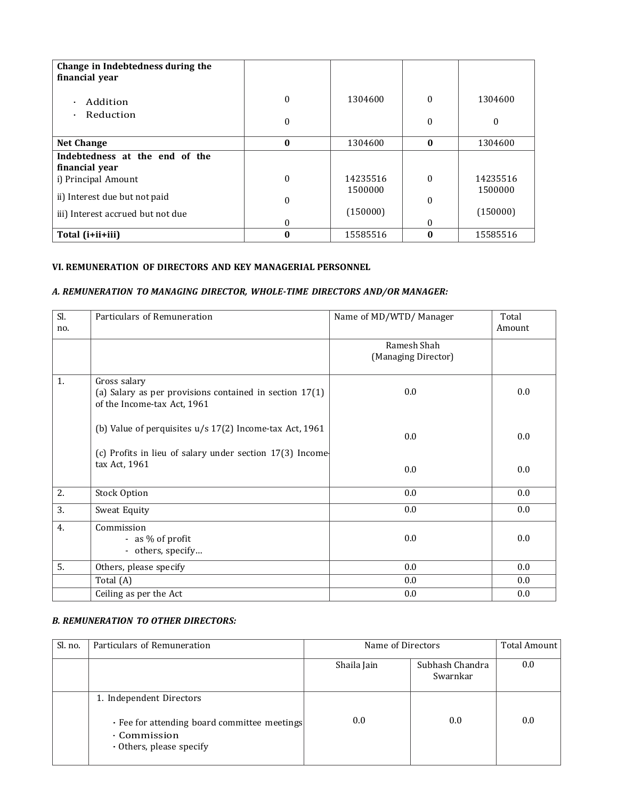| Change in Indebtedness during the<br>financial year |              |                     |              |                     |
|-----------------------------------------------------|--------------|---------------------|--------------|---------------------|
| Addition<br>$\bullet$                               | $\mathbf{0}$ | 1304600             | $\theta$     | 1304600             |
| Reduction<br>$\bullet$                              | $\mathbf{0}$ |                     | 0            | $\theta$            |
| <b>Net Change</b>                                   | $\bf{0}$     | 1304600             | $\bf{0}$     | 1304600             |
| Indebtedness at the end of the<br>financial year    |              |                     |              |                     |
| i) Principal Amount                                 | $\theta$     | 14235516<br>1500000 | $\theta$     | 14235516<br>1500000 |
| ii) Interest due but not paid                       | $\mathbf{0}$ |                     | $\mathbf{0}$ |                     |
| iii) Interest accrued but not due                   | 0            | (150000)            | $\theta$     | (150000)            |
| Total (i+ii+iii)                                    | $\bf{0}$     | 15585516            | $\bf{0}$     | 15585516            |

# **VI. REMUNERATION OF DIRECTORS AND KEY MANAGERIAL PERSONNEL**

# *A. REMUNERATION TO MANAGING DIRECTOR, WHOLE-TIME DIRECTORS AND/OR MANAGER:*

| Sl. | Particulars of Remuneration                                                              | Name of MD/WTD/Manager             | Total  |
|-----|------------------------------------------------------------------------------------------|------------------------------------|--------|
| no. |                                                                                          |                                    | Amount |
|     |                                                                                          | Ramesh Shah<br>(Managing Director) |        |
| 1.  | Gross salary                                                                             |                                    |        |
|     | (a) Salary as per provisions contained in section $17(1)$<br>of the Income-tax Act, 1961 | 0.0                                | 0.0    |
|     | (b) Value of perquisites $u/s 17(2)$ Income-tax Act, 1961                                | 0.0                                | 0.0    |
|     | (c) Profits in lieu of salary under section 17(3) Income                                 |                                    |        |
|     | tax Act, 1961                                                                            | 0.0                                | 0.0    |
| 2.  | <b>Stock Option</b>                                                                      | $0.0\,$                            | 0.0    |
| 3.  | Sweat Equity                                                                             | 0.0                                | 0.0    |
| 4.  | Commission<br>- as % of profit<br>- others, specify                                      | 0.0                                | 0.0    |
| 5.  | Others, please specify                                                                   | $0.0\,$                            | 0.0    |
|     | Total (A)                                                                                | 0.0                                | 0.0    |
|     | Ceiling as per the Act                                                                   | 0.0                                | 0.0    |

#### *B. REMUNERATION TO OTHER DIRECTORS:*

| Sl. no. | Particulars of Remuneration                                                                          | Name of Directors |                             | Total Amount |
|---------|------------------------------------------------------------------------------------------------------|-------------------|-----------------------------|--------------|
|         |                                                                                                      | Shaila Jain       | Subhash Chandra<br>Swarnkar | 0.0          |
|         | 1. Independent Directors                                                                             |                   |                             |              |
|         | . Fee for attending board committee meetings<br>$\cdot$ Commission<br>$\cdot$ Others, please specify | 0.0               | 0.0                         | 0.0          |